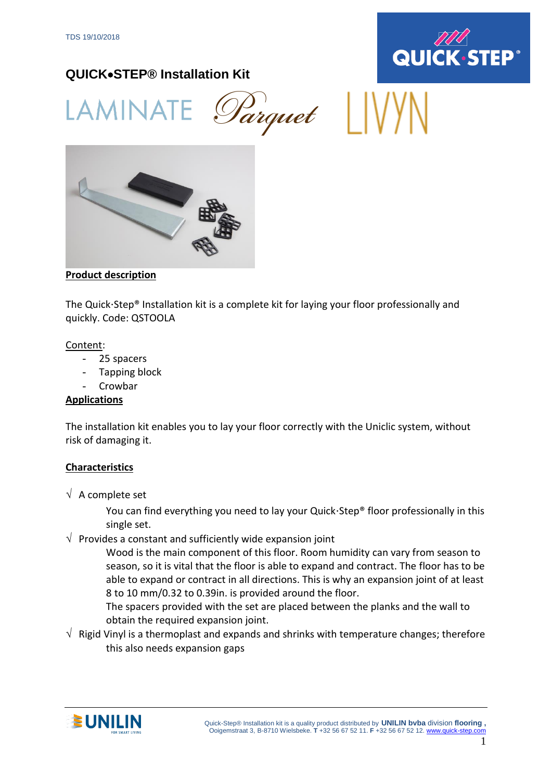

# **QUICK**•**STEP® Installation Kit**

Parquet WV LAMINAT



## **Product description**

The Quick Step<sup>®</sup> Installation kit is a complete kit for laying your floor professionally and quickly. Code: QSTOOLA

#### Content:

- 25 spacers
- Tapping block
- **Crowbar**

### **Applications**

The installation kit enables you to lay your floor correctly with the Uniclic system, without risk of damaging it.

### **Characteristics**

 $\sqrt{ }$  A complete set

You can find everything you need to lay your Quick Step® floor professionally in this single set.

 $\sqrt{ }$  Provides a constant and sufficiently wide expansion joint

Wood is the main component of this floor. Room humidity can vary from season to season, so it is vital that the floor is able to expand and contract. The floor has to be able to expand or contract in all directions. This is why an expansion joint of at least 8 to 10 mm/0.32 to 0.39in. is provided around the floor.

The spacers provided with the set are placed between the planks and the wall to obtain the required expansion joint.

 $\sqrt{\phantom{a}}$  Rigid Vinyl is a thermoplast and expands and shrinks with temperature changes; therefore this also needs expansion gaps